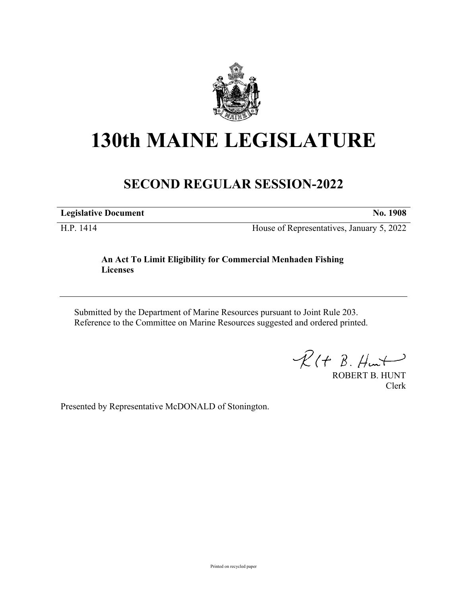

## **130th MAINE LEGISLATURE**

## **SECOND REGULAR SESSION-2022**

**Legislative Document No. 1908**

H.P. 1414 House of Representatives, January 5, 2022

## **An Act To Limit Eligibility for Commercial Menhaden Fishing Licenses**

Submitted by the Department of Marine Resources pursuant to Joint Rule 203. Reference to the Committee on Marine Resources suggested and ordered printed.

 $R(H B. Hmt)$ 

ROBERT B. HUNT Clerk

Presented by Representative McDONALD of Stonington.